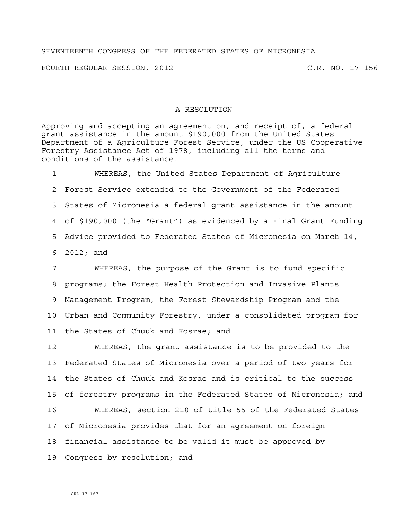## SEVENTEENTH CONGRESS OF THE FEDERATED STATES OF MICRONESIA

FOURTH REGULAR SESSION, 2012 C.R. NO. 17-156

## A RESOLUTION

Approving and accepting an agreement on, and receipt of, a federal grant assistance in the amount \$190,000 from the United States Department of a Agriculture Forest Service, under the US Cooperative Forestry Assistance Act of 1978, including all the terms and conditions of the assistance.

1 WHEREAS, the United States Department of Agriculture 2 Forest Service extended to the Government of the Federated 3 States of Micronesia a federal grant assistance in the amount 4 of \$190,000 (the "Grant") as evidenced by a Final Grant Funding 5 Advice provided to Federated States of Micronesia on March 14, 6 2012; and

7 WHEREAS, the purpose of the Grant is to fund specific 8 programs; the Forest Health Protection and Invasive Plants 9 Management Program, the Forest Stewardship Program and the 10 Urban and Community Forestry, under a consolidated program for 11 the States of Chuuk and Kosrae; and

12 WHEREAS, the grant assistance is to be provided to the 13 Federated States of Micronesia over a period of two years for 14 the States of Chuuk and Kosrae and is critical to the success 15 of forestry programs in the Federated States of Micronesia; and 16 WHEREAS, section 210 of title 55 of the Federated States 17 of Micronesia provides that for an agreement on foreign 18 financial assistance to be valid it must be approved by 19 Congress by resolution; and